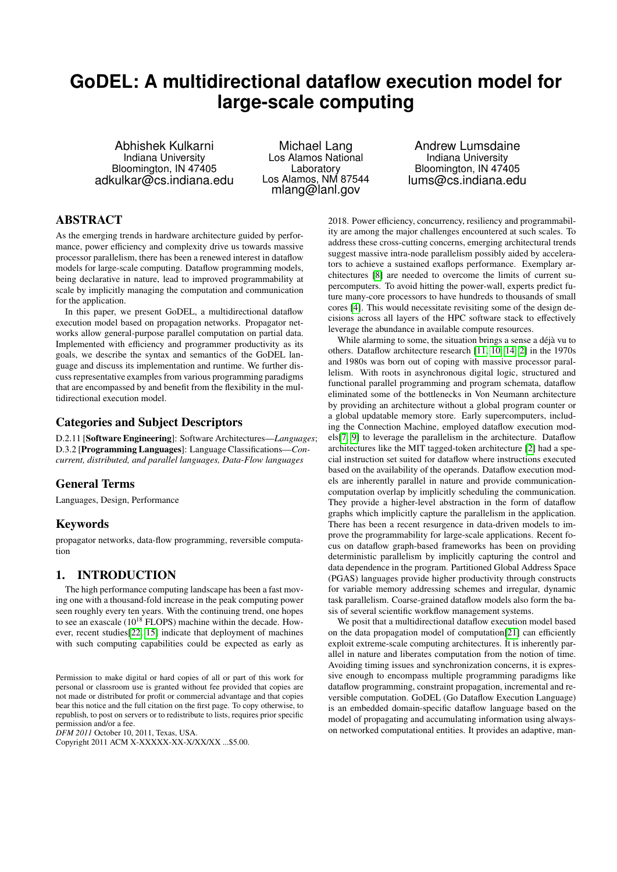# **GoDEL: A multidirectional dataflow execution model for large-scale computing**

Abhishek Kulkarni Indiana University Bloomington, IN 47405 adkulkar@cs.indiana.edu

Michael Lang Los Alamos National Laboratory Los Alamos, NM 87544 mlang@lanl.gov

Andrew Lumsdaine Indiana University Bloomington, IN 47405 lums@cs.indiana.edu

## ABSTRACT

As the emerging trends in hardware architecture guided by performance, power efficiency and complexity drive us towards massive processor parallelism, there has been a renewed interest in dataflow models for large-scale computing. Dataflow programming models, being declarative in nature, lead to improved programmability at scale by implicitly managing the computation and communication for the application.

In this paper, we present GoDEL, a multidirectional dataflow execution model based on propagation networks. Propagator networks allow general-purpose parallel computation on partial data. Implemented with efficiency and programmer productivity as its goals, we describe the syntax and semantics of the GoDEL language and discuss its implementation and runtime. We further discuss representative examples from various programming paradigms that are encompassed by and benefit from the flexibility in the multidirectional execution model.

#### Categories and Subject Descriptors

D.2.11 [Software Engineering]: Software Architectures—*Languages*; D.3.2 [Programming Languages]: Language Classifications—*Concurrent, distributed, and parallel languages, Data-Flow languages*

## General Terms

Languages, Design, Performance

## Keywords

propagator networks, data-flow programming, reversible computation

## 1. INTRODUCTION

The high performance computing landscape has been a fast moving one with a thousand-fold increase in the peak computing power seen roughly every ten years. With the continuing trend, one hopes to see an exascale  $(10^{18}$  FLOPS) machine within the decade. However, recent studies[\[22,](#page-6-0) [15\]](#page-6-1) indicate that deployment of machines with such computing capabilities could be expected as early as

*DFM 2011* October 10, 2011, Texas, USA.

Copyright 2011 ACM X-XXXXX-XX-X/XX/XX ...\$5.00.

2018. Power efficiency, concurrency, resiliency and programmability are among the major challenges encountered at such scales. To address these cross-cutting concerns, emerging architectural trends suggest massive intra-node parallelism possibly aided by accelerators to achieve a sustained exaflops performance. Exemplary architectures [\[8\]](#page-6-2) are needed to overcome the limits of current supercomputers. To avoid hitting the power-wall, experts predict future many-core processors to have hundreds to thousands of small cores [\[4\]](#page-6-3). This would necessitate revisiting some of the design decisions across all layers of the HPC software stack to effectively leverage the abundance in available compute resources.

While alarming to some, the situation brings a sense a déjà vu to others. Dataflow architecture research [\[11,](#page-6-4) [10,](#page-6-5) [14,](#page-6-6) [2\]](#page-6-7) in the 1970s and 1980s was born out of coping with massive processor parallelism. With roots in asynchronous digital logic, structured and functional parallel programming and program schemata, dataflow eliminated some of the bottlenecks in Von Neumann architecture by providing an architecture without a global program counter or a global updatable memory store. Early supercomputers, including the Connection Machine, employed dataflow execution models[\[7,](#page-6-8) [9\]](#page-6-9) to leverage the parallelism in the architecture. Dataflow architectures like the MIT tagged-token architecture [\[2\]](#page-6-7) had a special instruction set suited for dataflow where instructions executed based on the availability of the operands. Dataflow execution models are inherently parallel in nature and provide communicationcomputation overlap by implicitly scheduling the communication. They provide a higher-level abstraction in the form of dataflow graphs which implicitly capture the parallelism in the application. There has been a recent resurgence in data-driven models to improve the programmability for large-scale applications. Recent focus on dataflow graph-based frameworks has been on providing deterministic parallelism by implicitly capturing the control and data dependence in the program. Partitioned Global Address Space (PGAS) languages provide higher productivity through constructs for variable memory addressing schemes and irregular, dynamic task parallelism. Coarse-grained dataflow models also form the basis of several scientific workflow management systems.

We posit that a multidirectional dataflow execution model based on the data propagation model of computation[\[21\]](#page-6-10) can efficiently exploit extreme-scale computing architectures. It is inherently parallel in nature and liberates computation from the notion of time. Avoiding timing issues and synchronization concerns, it is expressive enough to encompass multiple programming paradigms like dataflow programming, constraint propagation, incremental and reversible computation. GoDEL (Go Dataflow Execution Language) is an embedded domain-specific dataflow language based on the model of propagating and accumulating information using alwayson networked computational entities. It provides an adaptive, man-

Permission to make digital or hard copies of all or part of this work for personal or classroom use is granted without fee provided that copies are not made or distributed for profit or commercial advantage and that copies bear this notice and the full citation on the first page. To copy otherwise, to republish, to post on servers or to redistribute to lists, requires prior specific permission and/or a fee.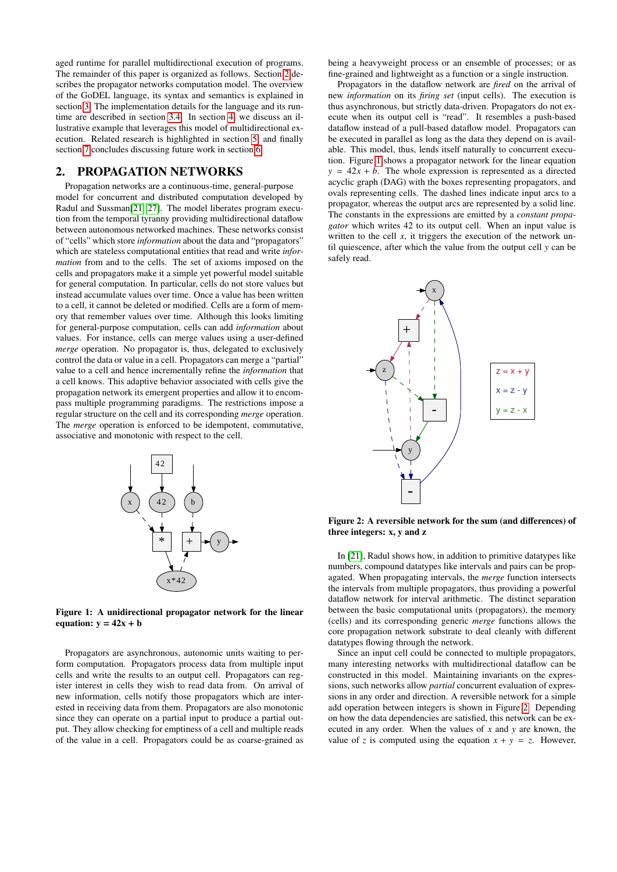aged runtime for parallel multidirectional execution of programs. The remainder of this paper is organized as follows. Section [2](#page-1-0) describes the propagator networks computation model. The overview of the GoDEL language, its syntax and semantics is explained in section [3.](#page-2-0) The implementation details for the language and its runtime are described in section [3.4.](#page-3-0) In section [4,](#page-4-0) we discuss an illustrative example that leverages this model of multidirectional execution. Related research is highlighted in section [5,](#page-5-0) and finally section [7](#page-6-11) concludes discussing future work in section [6.](#page-5-1)

#### <span id="page-1-0"></span>2. PROPAGATION NETWORKS

Propagation networks are a continuous-time, general-purpose model for concurrent and distributed computation developed by Radul and Sussman[\[21,](#page-6-10) [27\]](#page-7-0). The model liberates program execution from the temporal tyranny providing multidirectional dataflow between autonomous networked machines. These networks consist of "cells" which store *information* about the data and "propagators" which are stateless computational entities that read and write *information* from and to the cells. The set of axioms imposed on the cells and propagators make it a simple yet powerful model suitable for general computation. In particular, cells do not store values but instead accumulate values over time. Once a value has been written to a cell, it cannot be deleted or modified. Cells are a form of memory that remember values over time. Although this looks limiting for general-purpose computation, cells can add *information* about values. For instance, cells can merge values using a user-defined *merge* operation. No propagator is, thus, delegated to exclusively control the data or value in a cell. Propagators can merge a "partial" value to a cell and hence incrementally refine the *information* that a cell knows. This adaptive behavior associated with cells give the propagation network its emergent properties and allow it to encompass multiple programming paradigms. The restrictions impose a regular structure on the cell and its corresponding *merge* operation. The *merge* operation is enforced to be idempotent, commutative, associative and monotonic with respect to the cell.



<span id="page-1-1"></span>Figure 1: A unidirectional propagator network for the linear equation:  $y = 42x + b$ 

Propagators are asynchronous, autonomic units waiting to perform computation. Propagators process data from multiple input cells and write the results to an output cell. Propagators can register interest in cells they wish to read data from. On arrival of new information, cells notify those propagators which are interested in receiving data from them. Propagators are also monotonic since they can operate on a partial input to produce a partial output. They allow checking for emptiness of a cell and multiple reads of the value in a cell. Propagators could be as coarse-grained as being a heavyweight process or an ensemble of processes; or as fine-grained and lightweight as a function or a single instruction.

Propagators in the dataflow network are *fired* on the arrival of new *information* on its *firing set* (input cells). The execution is thus asynchronous, but strictly data-driven. Propagators do not execute when its output cell is "read". It resembles a push-based dataflow instead of a pull-based dataflow model. Propagators can be executed in parallel as long as the data they depend on is available. This model, thus, lends itself naturally to concurrent execution. Figure [1](#page-1-1) shows a propagator network for the linear equation  $y = 42x + b$ . The whole expression is represented as a directed acyclic graph (DAG) with the boxes representing propagators, and ovals representing cells. The dashed lines indicate input arcs to a propagator, whereas the output arcs are represented by a solid line. The constants in the expressions are emitted by a *constant propagator* which writes 42 to its output cell. When an input value is written to the cell  $x$ , it triggers the execution of the network until quiescence, after which the value from the output cell *y* can be safely read.



<span id="page-1-2"></span>Figure 2: A reversible network for the sum (and differences) of three integers: x, y and z

In [\[21\]](#page-6-10), Radul shows how, in addition to primitive datatypes like numbers, compound datatypes like intervals and pairs can be propagated. When propagating intervals, the *merge* function intersects the intervals from multiple propagators, thus providing a powerful dataflow network for interval arithmetic. The distinct separation between the basic computational units (propagators), the memory (cells) and its corresponding generic *merge* functions allows the core propagation network substrate to deal cleanly with different datatypes flowing through the network.

Since an input cell could be connected to multiple propagators, many interesting networks with multidirectional dataflow can be constructed in this model. Maintaining invariants on the expressions, such networks allow *partial* concurrent evaluation of expressions in any order and direction. A reversible network for a simple add operation between integers is shown in Figure [2.](#page-1-2) Depending on how the data dependencies are satisfied, this network can be executed in any order. When the values of *x* and *y* are known, the value of *z* is computed using the equation  $x + y = z$ . However,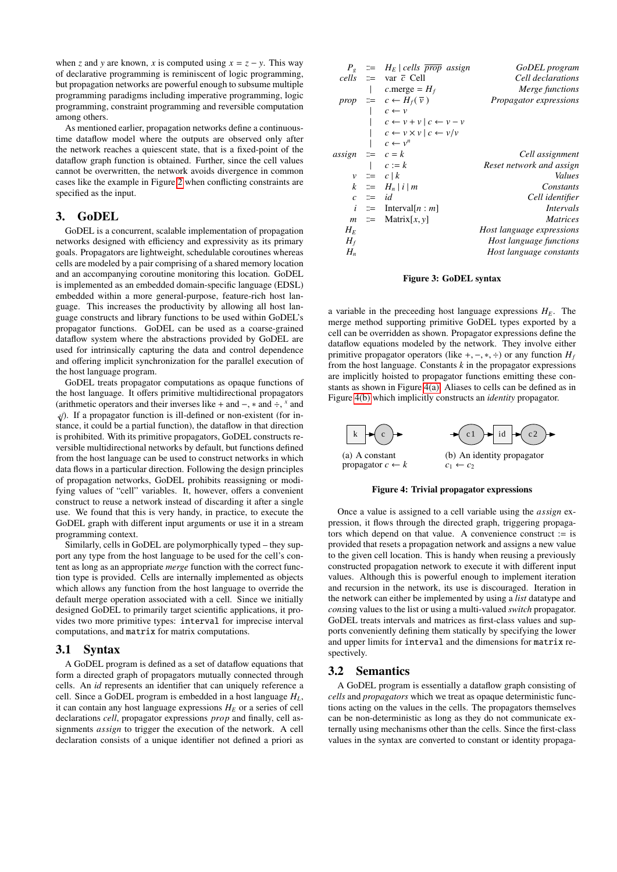when *z* and *y* are known, *x* is computed using  $x = z - y$ . This way of declarative programming is reminiscent of logic programming, but propagation networks are powerful enough to subsume multiple programming paradigms including imperative programming, logic programming, constraint programming and reversible computation among others.

As mentioned earlier, propagation networks define a continuoustime dataflow model where the outputs are observed only after the network reaches a quiescent state, that is a fixed-point of the dataflow graph function is obtained. Further, since the cell values cannot be overwritten, the network avoids divergence in common cases like the example in Figure [2](#page-1-2) when conflicting constraints are specified as the input.

#### <span id="page-2-0"></span>3. GoDEL

GoDEL is a concurrent, scalable implementation of propagation networks designed with efficiency and expressivity as its primary goals. Propagators are lightweight, schedulable coroutines whereas cells are modeled by a pair comprising of a shared memory location and an accompanying coroutine monitoring this location. GoDEL is implemented as an embedded domain-specific language (EDSL) embedded within a more general-purpose, feature-rich host language. This increases the productivity by allowing all host language constructs and library functions to be used within GoDEL's propagator functions. GoDEL can be used as a coarse-grained dataflow system where the abstractions provided by GoDEL are used for intrinsically capturing the data and control dependence and offering implicit synchronization for the parallel execution of the host language program.

GoDEL treats propagator computations as opaque functions of the host language. It offers primitive multidirectional propagators (arithmetic operators and their inverses like + and −, ∗ and ÷, *x* and  $\chi$ ). If a propagator function is ill-defined or non-existent (for instance, it could be a partial function), the dataflow in that direction is prohibited. With its primitive propagators, GoDEL constructs reversible multidirectional networks by default, but functions defined from the host language can be used to construct networks in which data flows in a particular direction. Following the design principles of propagation networks, GoDEL prohibits reassigning or modifying values of "cell" variables. It, however, offers a convenient construct to reuse a network instead of discarding it after a single use. We found that this is very handy, in practice, to execute the GoDEL graph with different input arguments or use it in a stream programming context.

Similarly, cells in GoDEL are polymorphically typed – they support any type from the host language to be used for the cell's content as long as an appropriate *merge* function with the correct function type is provided. Cells are internally implemented as objects which allows any function from the host language to override the default merge operation associated with a cell. Since we initially designed GoDEL to primarily target scientific applications, it provides two more primitive types: interval for imprecise interval computations, and matrix for matrix computations.

#### 3.1 Syntax

A GoDEL program is defined as a set of dataflow equations that form a directed graph of propagators mutually connected through cells. An *id* represents an identifier that can uniquely reference a cell. Since a GoDEL program is embedded in a host language *HL*, it can contain any host language expressions  $H_E$  or a series of cell declarations *cell*, propagator expressions *prop* and finally, cell assignments *assign* to trigger the execution of the network. A cell declaration consists of a unique identifier not defined a priori as

| $P_{\varphi}$      |               | $\equiv$ $H_E$   cells $\overline{prop}$ assign | GoDEL program                  |
|--------------------|---------------|-------------------------------------------------|--------------------------------|
|                    |               | <i>cells</i> $\equiv$ var $\bar{c}$ Cell        | Cell declarations              |
|                    |               | c.merge = $H_f$                                 | Merge functions                |
|                    |               | prop $\equiv c \leftarrow H_f(\overline{v})$    | Propagator expressions         |
|                    |               | $c \leftarrow v$                                |                                |
|                    |               | $c \leftarrow v + v \mid c \leftarrow v - v$    |                                |
|                    |               | $c \leftarrow v \times v \mid c \leftarrow v/v$ |                                |
|                    |               | $c \leftarrow v^n$                              |                                |
| $assign ::= c = k$ |               |                                                 | Cell assignment                |
|                    |               | $c := k$                                        | Reset network and assign       |
|                    |               | $v \cong c   k$                                 | Values                         |
|                    |               | $k \equiv H_n  i  m$                            | Constants                      |
|                    | $c \equiv id$ |                                                 | Cell identifier                |
| $\dot{i}$          |               | $\equiv$ Interval[ <i>n</i> : <i>m</i> ]        | Intervals                      |
|                    |               | $m \equiv$ Matrix $[x, y]$                      | <i>Matrices</i>                |
| $H_F$              |               |                                                 | Host language expressions      |
| $H_f$              |               |                                                 | <i>Host language functions</i> |
| $H_n$              |               |                                                 | Host language constants        |

#### Figure 3: GoDEL syntax

a variable in the preceeding host language expressions  $H_E$ . The merge method supporting primitive GoDEL types exported by a cell can be overridden as shown. Propagator expressions define the dataflow equations modeled by the network. They involve either primitive propagator operators (like +, –, \*, ÷) or any function  $H_f$ from the host language. Constants *k* in the propagator expressions are implicitly hoisted to propagator functions emitting these constants as shown in Figure [4\(a\).](#page-2-1) Aliases to cells can be defined as in Figure [4\(b\)](#page-2-2) which implicitly constructs an *identity* propagator.

<span id="page-2-1"></span>

<span id="page-2-2"></span>Figure 4: Trivial propagator expressions

Once a value is assigned to a cell variable using the *assign* expression, it flows through the directed graph, triggering propagators which depend on that value. A convenience construct := is provided that resets a propagation network and assigns a new value to the given cell location. This is handy when reusing a previously constructed propagation network to execute it with different input values. Although this is powerful enough to implement iteration and recursion in the network, its use is discouraged. Iteration in the network can either be implemented by using a *list* datatype and *cons*ing values to the list or using a multi-valued *switch* propagator. GoDEL treats intervals and matrices as first-class values and supports conveniently defining them statically by specifying the lower and upper limits for interval and the dimensions for matrix respectively.

#### 3.2 Semantics

A GoDEL program is essentially a dataflow graph consisting of *cells* and *propagators* which we treat as opaque deterministic functions acting on the values in the cells. The propagators themselves can be non-deterministic as long as they do not communicate externally using mechanisms other than the cells. Since the first-class values in the syntax are converted to constant or identity propaga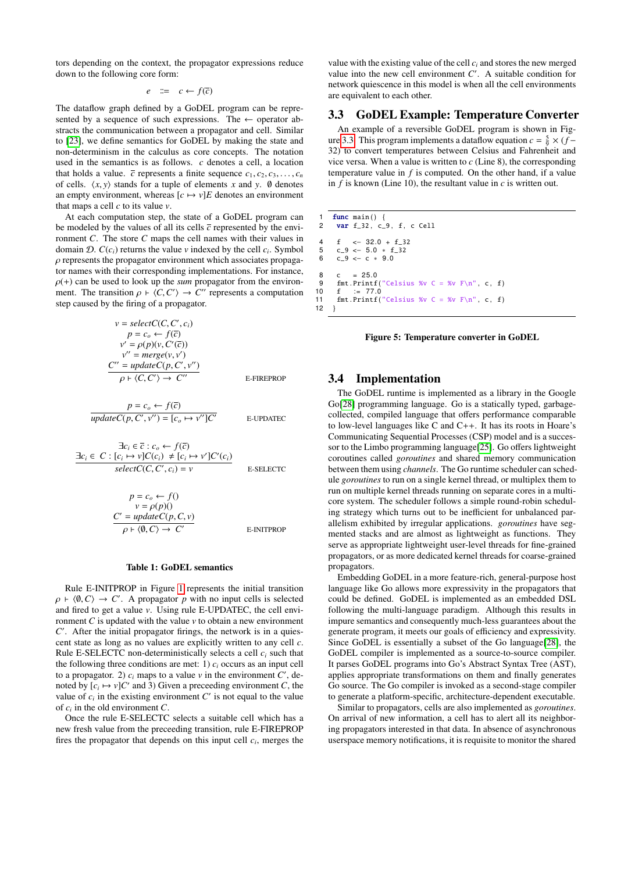tors depending on the context, the propagator expressions reduce down to the following core form:

$$
e \quad ::= \quad c \leftarrow f(\overline{c})
$$

The dataflow graph defined by a GoDEL program can be represented by a sequence of such expressions. The  $\leftarrow$  operator abstracts the communication between a propagator and cell. Similar to [\[23\]](#page-6-12), we define semantics for GoDEL by making the state and non-determinism in the calculus as core concepts. The notation used in the semantics is as follows. *c* denotes a cell, a location that holds a value.  $\overline{c}$  represents a finite sequence  $c_1, c_2, c_3, \ldots, c_n$ of cells.  $\langle x, y \rangle$  stands for a tuple of elements *x* and *y*. Ø denotes an empty environment, whereas  $[c \mapsto v]E$  denotes an environment that maps a cell *c* to its value *v*.

At each computation step, the state of a GoDEL program can be modeled by the values of all its cells  $\bar{c}$  represented by the environment *C*. The store *C* maps the cell names with their values in domain  $\mathcal{D}$ .  $C(c_i)$  returns the value  $v$  indexed by the cell  $c_i$ . Symbol  $\rho$  represents the propagator environment which associates propagator names with their corresponding implementations. For instance,  $\rho$ (+) can be used to look up the *sum* propagator from the environment. The transition  $\rho + \langle C, C' \rangle \rightarrow C''$  represents a computation<br>step caused by the firing of a propagator step caused by the firing of a propagator.

$$
v = selectC(C, C', c_i)
$$
  
\n
$$
p = c_o \leftarrow f(\overline{c})
$$
  
\n
$$
v' = \rho(p)(v, C'(\overline{c}))
$$
  
\n
$$
v'' = merge(v, v')
$$
  
\n
$$
C'' = updateC(p, C', v'')
$$
  
\n
$$
\rho \vdash \langle C, C' \rangle \rightarrow C''
$$
  
\nE-FIREPROP

$$
p = c_o \leftarrow f(\overline{c})
$$
  

$$
updateC(p, C', v'') = [c_o \mapsto v'']C'
$$

E-UPDATEC

$$
\exists c_i \in \overline{c} : c_o \leftarrow f(\overline{c})
$$
\n
$$
\exists c_i \in C : [c_i \mapsto v]C(c_i) \neq [c_i \mapsto v']C'(c_i)
$$
\n
$$
selectC(C, C', c_i) = v
$$
\nE-SELECT

$$
p = c_o \leftarrow f()
$$
  
\n
$$
v = \rho(p)(
$$
  
\n
$$
C' = updateC(p, C, v)
$$
  
\n
$$
\rho \vdash \langle 0, C \rangle \rightarrow C'
$$
  
\nE-INTPROP

#### <span id="page-3-1"></span>Table 1: GoDEL semantics

Rule E-INITPROP in Figure [1](#page-3-1) represents the initial transition  $\rho \in \langle \emptyset, C \rangle \to C'$ . A propagator *p* with no input cells is selected<br>and fired to get a value *v*. Using rule E-UPDATEC, the cell enviand fired to get a value *v*. Using rule E-UPDATEC, the cell environment  $C$  is updated with the value  $\nu$  to obtain a new environment C'. After the initial propagator firings, the network is in a quiescent state as long as no values are explicitly written to any cell *c*. Rule E-SELECTC non-deterministically selects a cell *c<sup>i</sup>* such that the following three conditions are met: 1)  $c_i$  occurs as an input cell to a propagator. 2)  $c_i$  maps to a value  $\nu$  in the environment  $C'$ , denoted by  $[c_i \mapsto v]C'$  and 3) Given a preceeding environment *C*, the value of  $c_i$  in the existing environment  $C'$  is not equal to the value of  $c_i$  in the old environment  $C$ .

Once the rule E-SELECTC selects a suitable cell which has a new fresh value from the preceeding transition, rule E-FIREPROP fires the propagator that depends on this input cell *c<sup>i</sup>* , merges the

value with the existing value of the cell  $c_i$  and stores the new merged value into the new cell environment  $C'$ . A suitable condition for network quiescence in this model is when all the cell environments are equivalent to each other.

#### 3.3 GoDEL Example: Temperature Converter

An example of a reversible GoDEL program is shown in Fig-ure [3.3.](#page-3-2) This program implements a dataflow equation  $c = \frac{5}{9} \times (f -$ 32) to convert temperatures between Celsius and Fahrenheit and vice versa. When a value is written to *c* (Line 8), the corresponding temperature value in *f* is computed. On the other hand, if a value in *f* is known (Line 10), the resultant value in *c* is written out.

1 func main () {<br>2 var f 32. c ! 2 var f\_32 , c\_9 , f , c Cell 4 f  $\leftarrow$  32.0 + f\_32<br>5 c 9  $\leftarrow$  5 0  $\ast$  f 32  $5$  c\_9 <- 5.0  $\div$  f\_32<br>6 c 9 <- c  $\div$  9.0  $c_9 < -c * 9.0$  $8 \quad c = 25.0$ 9 fmt.Printf ("Celsius %v C = %v  $F\n\rightharpoonup r$ , c, f) 10 f := 77.0<br>11 fmt.Printf( fmt . Printf ("Celsius %v C = %v  $F\n\cdot r$ ", c, f) 12 }

<span id="page-3-2"></span>

#### <span id="page-3-0"></span>3.4 Implementation

The GoDEL runtime is implemented as a library in the Google Go[\[28\]](#page-7-1) programming language. Go is a statically typed, garbagecollected, compiled language that offers performance comparable to low-level languages like C and C++. It has its roots in Hoare's Communicating Sequential Processes (CSP) model and is a successor to the Limbo programming language[\[25\]](#page-6-13). Go offers lightweight coroutines called *goroutines* and shared memory communication between them using *channels*. The Go runtime scheduler can schedule *goroutines* to run on a single kernel thread, or multiplex them to run on multiple kernel threads running on separate cores in a multicore system. The scheduler follows a simple round-robin scheduling strategy which turns out to be inefficient for unbalanced parallelism exhibited by irregular applications. *goroutines* have segmented stacks and are almost as lightweight as functions. They serve as appropriate lightweight user-level threads for fine-grained propagators, or as more dedicated kernel threads for coarse-grained propagators.

Embedding GoDEL in a more feature-rich, general-purpose host language like Go allows more expressivity in the propagators that could be defined. GoDEL is implemented as an embedded DSL following the multi-language paradigm. Although this results in impure semantics and consequently much-less guarantees about the generate program, it meets our goals of efficiency and expressivity. Since GoDEL is essentially a subset of the Go language[\[28\]](#page-7-1), the GoDEL compiler is implemented as a source-to-source compiler. It parses GoDEL programs into Go's Abstract Syntax Tree (AST), applies appropriate transformations on them and finally generates Go source. The Go compiler is invoked as a second-stage compiler to generate a platform-specific, architecture-dependent executable.

Similar to propagators, cells are also implemented as *goroutines*. On arrival of new information, a cell has to alert all its neighboring propagators interested in that data. In absence of asynchronous userspace memory notifications, it is requisite to monitor the shared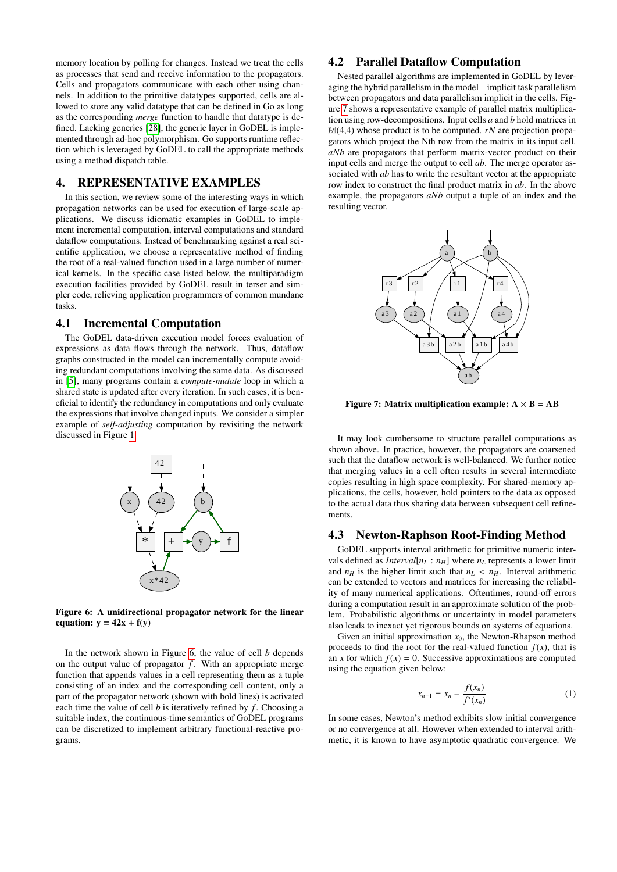memory location by polling for changes. Instead we treat the cells as processes that send and receive information to the propagators. Cells and propagators communicate with each other using channels. In addition to the primitive datatypes supported, cells are allowed to store any valid datatype that can be defined in Go as long as the corresponding *merge* function to handle that datatype is defined. Lacking generics [\[28\]](#page-7-1), the generic layer in GoDEL is implemented through ad-hoc polymorphism. Go supports runtime reflection which is leveraged by GoDEL to call the appropriate methods using a method dispatch table.

#### <span id="page-4-0"></span>4. REPRESENTATIVE EXAMPLES

In this section, we review some of the interesting ways in which propagation networks can be used for execution of large-scale applications. We discuss idiomatic examples in GoDEL to implement incremental computation, interval computations and standard dataflow computations. Instead of benchmarking against a real scientific application, we choose a representative method of finding the root of a real-valued function used in a large number of numerical kernels. In the specific case listed below, the multiparadigm execution facilities provided by GoDEL result in terser and simpler code, relieving application programmers of common mundane tasks.

#### 4.1 Incremental Computation

The GoDEL data-driven execution model forces evaluation of expressions as data flows through the network. Thus, dataflow graphs constructed in the model can incrementally compute avoiding redundant computations involving the same data. As discussed in [\[5\]](#page-6-14), many programs contain a *compute-mutate* loop in which a shared state is updated after every iteration. In such cases, it is beneficial to identify the redundancy in computations and only evaluate the expressions that involve changed inputs. We consider a simpler example of *self-adjusting* computation by revisiting the network discussed in Figure [1.](#page-1-1)



<span id="page-4-1"></span>Figure 6: A unidirectional propagator network for the linear equation:  $y = 42x + f(y)$ 

In the network shown in Figure [6,](#page-4-1) the value of cell *b* depends on the output value of propagator *f* . With an appropriate merge function that appends values in a cell representing them as a tuple consisting of an index and the corresponding cell content, only a part of the propagator network (shown with bold lines) is activated each time the value of cell  $b$  is iteratively refined by  $f$ . Choosing a suitable index, the continuous-time semantics of GoDEL programs can be discretized to implement arbitrary functional-reactive programs.

## 4.2 Parallel Dataflow Computation

Nested parallel algorithms are implemented in GoDEL by leveraging the hybrid parallelism in the model – implicit task parallelism between propagators and data parallelism implicit in the cells. Figure [7](#page-4-2) shows a representative example of parallel matrix multiplication using row-decompositions. Input cells *a* and *b* hold matrices in M(4,4) whose product is to be computed. *rN* are projection propagators which project the Nth row from the matrix in its input cell. *aNb* are propagators that perform matrix-vector product on their input cells and merge the output to cell *ab*. The merge operator associated with *ab* has to write the resultant vector at the appropriate row index to construct the final product matrix in *ab*. In the above example, the propagators *aNb* output a tuple of an index and the resulting vector.



<span id="page-4-2"></span>Figure 7: Matrix multiplication example:  $A \times B = AB$ 

It may look cumbersome to structure parallel computations as shown above. In practice, however, the propagators are coarsened such that the dataflow network is well-balanced. We further notice that merging values in a cell often results in several intermediate copies resulting in high space complexity. For shared-memory applications, the cells, however, hold pointers to the data as opposed to the actual data thus sharing data between subsequent cell refinements.

#### 4.3 Newton-Raphson Root-Finding Method

GoDEL supports interval arithmetic for primitive numeric intervals defined as *Interval*[ $n_L$  :  $n_H$ ] where  $n_L$  represents a lower limit and  $n_H$  is the higher limit such that  $n_L < n_H$ . Interval arithmetic can be extended to vectors and matrices for increasing the reliability of many numerical applications. Oftentimes, round-off errors during a computation result in an approximate solution of the problem. Probabilistic algorithms or uncertainty in model parameters also leads to inexact yet rigorous bounds on systems of equations.

Given an initial approximation  $x_0$ , the Newton-Rhapson method proceeds to find the root for the real-valued function  $f(x)$ , that is an *x* for which  $f(x) = 0$ . Successive approximations are computed using the equation given below:

<span id="page-4-3"></span>
$$
x_{n+1} = x_n - \frac{f(x_n)}{f'(x_n)}
$$
 (1)

In some cases, Newton's method exhibits slow initial convergence or no convergence at all. However when extended to interval arithmetic, it is known to have asymptotic quadratic convergence. We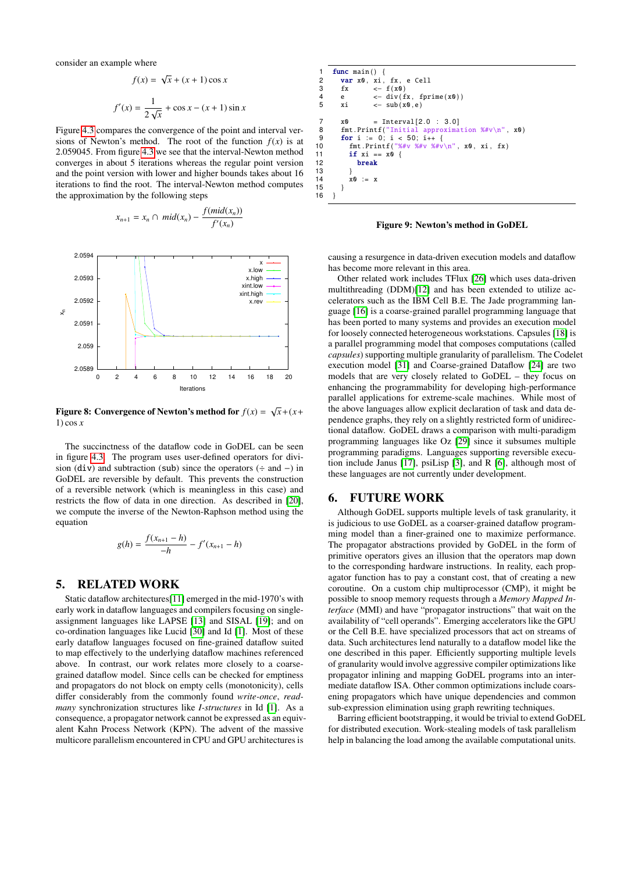consider an example where

$$
f(x) = \sqrt{x} + (x+1)\cos x
$$

$$
f'(x) = \frac{1}{2\sqrt{x}} + \cos x - (x+1)\sin x
$$

√

Figure [4.3](#page-4-3) compares the convergence of the point and interval versions of Newton's method. The root of the function  $f(x)$  is at 2.059045. From figure [4.3](#page-4-3) we see that the interval-Newton method converges in about 5 iterations whereas the regular point version and the point version with lower and higher bounds takes about 16 iterations to find the root. The interval-Newton method computes the approximation by the following steps

$$
x_{n+1} = x_n \cap mid(x_n) - \frac{f(mid(x_n))}{f'(x_n)}
$$



Figure 8: Convergence of Newton's method for  $f(x) = \sqrt{x} + (x + y)$ 1) cos *x*

The succinctness of the dataflow code in GoDEL can be seen in figure [4.3.](#page-5-2) The program uses user-defined operators for division (div) and subtraction (sub) since the operators  $(÷$  and  $-)$  in GoDEL are reversible by default. This prevents the construction of a reversible network (which is meaningless in this case) and restricts the flow of data in one direction. As described in [\[20\]](#page-6-15), we compute the inverse of the Newton-Raphson method using the equation

$$
g(h) = \frac{f(x_{n+1} - h)}{-h} - f'(x_{n+1} - h)
$$

#### <span id="page-5-0"></span>5. RELATED WORK

Static dataflow architectures[\[11\]](#page-6-4) emerged in the mid-1970's with early work in dataflow languages and compilers focusing on singleassignment languages like LAPSE [\[13\]](#page-6-16) and SISAL [\[19\]](#page-6-17); and on co-ordination languages like Lucid [\[30\]](#page-7-2) and Id [\[1\]](#page-6-18). Most of these early dataflow languages focused on fine-grained dataflow suited to map effectively to the underlying dataflow machines referenced above. In contrast, our work relates more closely to a coarsegrained dataflow model. Since cells can be checked for emptiness and propagators do not block on empty cells (monotonicity), cells differ considerably from the commonly found *write-once*, *readmany* synchronization structures like *I-structures* in Id [\[1\]](#page-6-18). As a consequence, a propagator network cannot be expressed as an equivalent Kahn Process Network (KPN). The advent of the massive multicore parallelism encountered in CPU and GPU architectures is

```
func main () {
 2 var x0, xi, fx, e Cell<br>3 fx \leq f(x0)
 3 fx \leftarrow f(x0)<br>4 e \leftarrow \text{div}(f)4 e \leftarrow \text{div}(\text{fx}, \text{fprime}(\text{x0}))<br>5 xi \leftarrow \text{sub}(\text{x0}, \text{e})\leftarrow sub (x0, e)7 x0 = Interval[2.0 : 3.0]<br>8 fmt \cdot Print('Initial approximation)fmt.Printf ("Initial approximation \%#v\n", x0)
9 for i := 0; i < 50; i++ {<br>10 fmt Printf("%#y %#y %#y"
10 fmt . Printf ( "%#v %#v %#v\n", x0, xi, fx)<br>11 if xi = x0 {
11 if x_i == x0 {<br>12 break12 break
\begin{array}{ccc} 13 & & & \} \\ 14 & & & \end{array}x0 := x15 }
16 }
```
<span id="page-5-2"></span>Figure 9: Newton's method in GoDEL

causing a resurgence in data-driven execution models and dataflow has become more relevant in this area.

Other related work includes TFlux [\[26\]](#page-7-3) which uses data-driven multithreading (DDM)[\[12\]](#page-6-19) and has been extended to utilize accelerators such as the IBM Cell B.E. The Jade programming language [\[16\]](#page-6-20) is a coarse-grained parallel programming language that has been ported to many systems and provides an execution model for loosely connected heterogeneous workstations. Capsules [\[18\]](#page-6-21) is a parallel programming model that composes computations (called *capsules*) supporting multiple granularity of parallelism. The Codelet execution model [\[31\]](#page-7-4) and Coarse-grained Dataflow [\[24\]](#page-6-22) are two models that are very closely related to GoDEL – they focus on enhancing the programmability for developing high-performance parallel applications for extreme-scale machines. While most of the above languages allow explicit declaration of task and data dependence graphs, they rely on a slightly restricted form of unidirectional dataflow. GoDEL draws a comparison with multi-paradigm programming languages like Oz [\[29\]](#page-7-5) since it subsumes multiple programming paradigms. Languages supporting reversible execution include Janus [\[17\]](#page-6-23), psiLisp [\[3\]](#page-6-24), and R [\[6\]](#page-6-25), although most of these languages are not currently under development.

## <span id="page-5-1"></span>6. FUTURE WORK

Although GoDEL supports multiple levels of task granularity, it is judicious to use GoDEL as a coarser-grained dataflow programming model than a finer-grained one to maximize performance. The propagator abstractions provided by GoDEL in the form of primitive operators gives an illusion that the operators map down to the corresponding hardware instructions. In reality, each propagator function has to pay a constant cost, that of creating a new coroutine. On a custom chip multiprocessor (CMP), it might be possible to snoop memory requests through a *Memory Mapped Interface* (MMI) and have "propagator instructions" that wait on the availability of "cell operands". Emerging accelerators like the GPU or the Cell B.E. have specialized processors that act on streams of data. Such architectures lend naturally to a dataflow model like the one described in this paper. Efficiently supporting multiple levels of granularity would involve aggressive compiler optimizations like propagator inlining and mapping GoDEL programs into an intermediate dataflow ISA. Other common optimizations include coarsening propagators which have unique dependencies and common sub-expression elimination using graph rewriting techniques.

Barring efficient bootstrapping, it would be trivial to extend GoDEL for distributed execution. Work-stealing models of task parallelism help in balancing the load among the available computational units.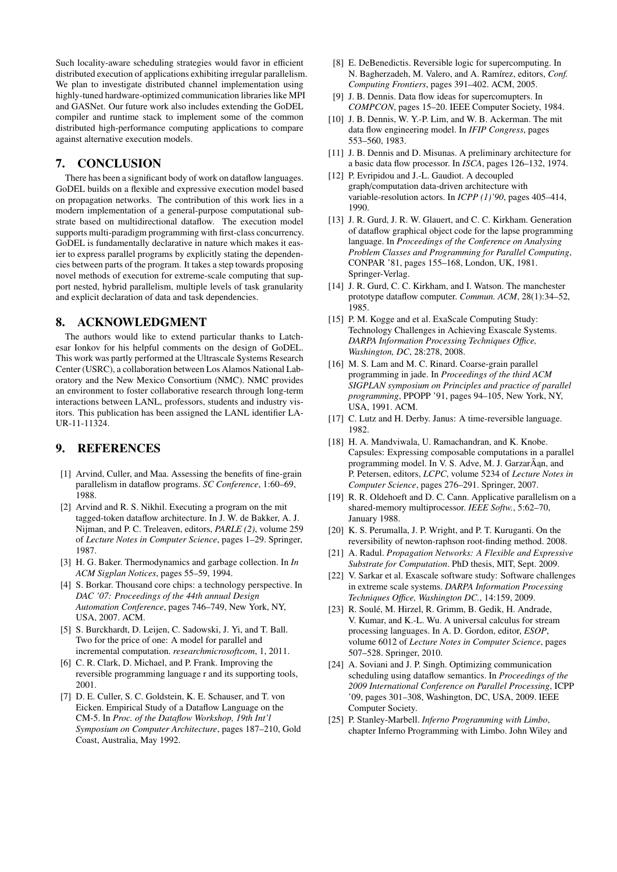Such locality-aware scheduling strategies would favor in efficient distributed execution of applications exhibiting irregular parallelism. We plan to investigate distributed channel implementation using highly-tuned hardware-optimized communication libraries like MPI and GASNet. Our future work also includes extending the GoDEL compiler and runtime stack to implement some of the common distributed high-performance computing applications to compare against alternative execution models.

## <span id="page-6-11"></span>7. CONCLUSION

There has been a significant body of work on dataflow languages. GoDEL builds on a flexible and expressive execution model based on propagation networks. The contribution of this work lies in a modern implementation of a general-purpose computational substrate based on multidirectional dataflow. The execution model supports multi-paradigm programming with first-class concurrency. GoDEL is fundamentally declarative in nature which makes it easier to express parallel programs by explicitly stating the dependencies between parts of the program. It takes a step towards proposing novel methods of execution for extreme-scale computing that support nested, hybrid parallelism, multiple levels of task granularity and explicit declaration of data and task dependencies.

## 8. ACKNOWLEDGMENT

The authors would like to extend particular thanks to Latchesar Ionkov for his helpful comments on the design of GoDEL. This work was partly performed at the Ultrascale Systems Research Center (USRC), a collaboration between Los Alamos National Laboratory and the New Mexico Consortium (NMC). NMC provides an environment to foster collaborative research through long-term interactions between LANL, professors, students and industry visitors. This publication has been assigned the LANL identifier LA-UR-11-11324.

# 9. REFERENCES

- <span id="page-6-18"></span>[1] Arvind, Culler, and Maa. Assessing the benefits of fine-grain parallelism in dataflow programs. *SC Conference*, 1:60–69, 1988.
- <span id="page-6-7"></span>[2] Arvind and R. S. Nikhil. Executing a program on the mit tagged-token dataflow architecture. In J. W. de Bakker, A. J. Nijman, and P. C. Treleaven, editors, *PARLE (2)*, volume 259 of *Lecture Notes in Computer Science*, pages 1–29. Springer, 1987.
- <span id="page-6-24"></span>[3] H. G. Baker. Thermodynamics and garbage collection. In *In ACM Sigplan Notices*, pages 55–59, 1994.
- <span id="page-6-3"></span>[4] S. Borkar. Thousand core chips: a technology perspective. In *DAC '07: Proceedings of the 44th annual Design Automation Conference*, pages 746–749, New York, NY, USA, 2007. ACM.
- <span id="page-6-14"></span>[5] S. Burckhardt, D. Leijen, C. Sadowski, J. Yi, and T. Ball. Two for the price of one: A model for parallel and incremental computation. *researchmicrosoftcom*, 1, 2011.
- <span id="page-6-25"></span>[6] C. R. Clark, D. Michael, and P. Frank. Improving the reversible programming language r and its supporting tools, 2001.
- <span id="page-6-8"></span>[7] D. E. Culler, S. C. Goldstein, K. E. Schauser, and T. von Eicken. Empirical Study of a Dataflow Language on the CM-5. In *Proc. of the Dataflow Workshop, 19th Int'l Symposium on Computer Architecture*, pages 187–210, Gold Coast, Australia, May 1992.
- <span id="page-6-2"></span>[8] E. DeBenedictis. Reversible logic for supercomputing. In N. Bagherzadeh, M. Valero, and A. Ramírez, editors, *Conf. Computing Frontiers*, pages 391–402. ACM, 2005.
- <span id="page-6-9"></span>[9] J. B. Dennis. Data flow ideas for supercomupters. In *COMPCON*, pages 15–20. IEEE Computer Society, 1984.
- <span id="page-6-5"></span>[10] J. B. Dennis, W. Y.-P. Lim, and W. B. Ackerman. The mit data flow engineering model. In *IFIP Congress*, pages 553–560, 1983.
- <span id="page-6-4"></span>[11] J. B. Dennis and D. Misunas. A preliminary architecture for a basic data flow processor. In *ISCA*, pages 126–132, 1974.
- <span id="page-6-19"></span>[12] P. Evripidou and J.-L. Gaudiot. A decoupled graph/computation data-driven architecture with variable-resolution actors. In *ICPP (1)'90*, pages 405–414, 1990.
- <span id="page-6-16"></span>[13] J. R. Gurd, J. R. W. Glauert, and C. C. Kirkham. Generation of dataflow graphical object code for the lapse programming language. In *Proceedings of the Conference on Analysing Problem Classes and Programming for Parallel Computing*, CONPAR '81, pages 155–168, London, UK, 1981. Springer-Verlag.
- <span id="page-6-6"></span>[14] J. R. Gurd, C. C. Kirkham, and I. Watson. The manchester prototype dataflow computer. *Commun. ACM*, 28(1):34–52, 1985.
- <span id="page-6-1"></span>[15] P. M. Kogge and et al. ExaScale Computing Study: Technology Challenges in Achieving Exascale Systems. *DARPA Information Processing Techniques O*ffi*ce, Washington, DC*, 28:278, 2008.
- <span id="page-6-20"></span>[16] M. S. Lam and M. C. Rinard. Coarse-grain parallel programming in jade. In *Proceedings of the third ACM SIGPLAN symposium on Principles and practice of parallel programming*, PPOPP '91, pages 94–105, New York, NY, USA, 1991. ACM.
- <span id="page-6-23"></span>[17] C. Lutz and H. Derby. Janus: A time-reversible language. 1982.
- <span id="page-6-21"></span>[18] H. A. Mandviwala, U. Ramachandran, and K. Knobe. Capsules: Expressing composable computations in a parallel programming model. In V. S. Adve, M. J. Garzar $\tilde{A}$ an, and P. Petersen, editors, *LCPC*, volume 5234 of *Lecture Notes in Computer Science*, pages 276–291. Springer, 2007.
- <span id="page-6-17"></span>[19] R. R. Oldehoeft and D. C. Cann. Applicative parallelism on a shared-memory multiprocessor. *IEEE Softw.*, 5:62–70, January 1988.
- <span id="page-6-15"></span>[20] K. S. Perumalla, J. P. Wright, and P. T. Kuruganti. On the reversibility of newton-raphson root-finding method. 2008.
- <span id="page-6-10"></span>[21] A. Radul. *Propagation Networks: A Flexible and Expressive Substrate for Computation*. PhD thesis, MIT, Sept. 2009.
- <span id="page-6-0"></span>[22] V. Sarkar et al. Exascale software study: Software challenges in extreme scale systems. *DARPA Information Processing Techniques O*ffi*ce, Washington DC.*, 14:159, 2009.
- <span id="page-6-12"></span>[23] R. Soulé, M. Hirzel, R. Grimm, B. Gedik, H. Andrade, V. Kumar, and K.-L. Wu. A universal calculus for stream processing languages. In A. D. Gordon, editor, *ESOP*, volume 6012 of *Lecture Notes in Computer Science*, pages 507–528. Springer, 2010.
- <span id="page-6-22"></span>[24] A. Soviani and J. P. Singh. Optimizing communication scheduling using dataflow semantics. In *Proceedings of the 2009 International Conference on Parallel Processing*, ICPP '09, pages 301–308, Washington, DC, USA, 2009. IEEE Computer Society.
- <span id="page-6-13"></span>[25] P. Stanley-Marbell. *Inferno Programming with Limbo*, chapter Inferno Programming with Limbo. John Wiley and